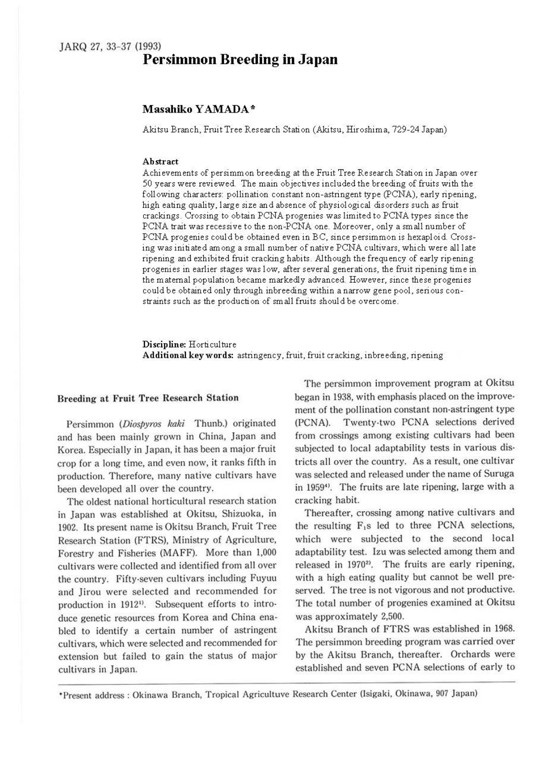# **Persimmon Breeding in Japan**

### **Masahiko YAMADA\***

Akitsu Branch, Fruit Tree Research Station (Akitsu, Hiroshima, 729-24 Japan)

#### **Abstract**

Achievements of persimmon breeding at the Fruit Tree Research Station in Japan over 50 years were reviewed. The main objectives included the breeding of fruits with the following characters: pollination constant non-astringent type (PCNA), early ripening, high eating quality, large size and absence of physiological disorders such as fruit crackings. Crossing to obtain PCNA progenies was limited to PCNA types since the PCNA trait was recessive to the non-PCNA one. Moreover, only a small number of PCNA progenies could be obtained even in BC, since persimmon is hexaploid. Crossing was initiated among a small number of native PCNA cultivars, which were all late ripening and exhibited fruit cracking habits. Although the frequency of early ripening progenies in earlier stages was low, after several generations, the fruit ripening time in the maternal population became markedly advanced. However, since these progenies could be obtained only through inbreeding within a narrow gene pool, serious constraints such as the production of small fruits should be overcome.

**Discipline:** Horticulture **Additional key words:** astringency, fruit, fruit cracking, inbreeding, ripening

#### Breeding at Fruit Tree Research Station

Persimmon (Diospyros kaki Thunb.) originated and has been mainly grown in China, Japan and Korea. Especially in Japan, it has been a major fruit crop for a long time, and even now, it ranks fifth in production. Therefore, many native cultivars have been developed all over the country.

The oldest national horticultural research station in Japan was established at Okitsu, Shizuoka, in 1902. Its present name is Okitsu Branch, Fruit Tree Research Station (FTRS), Ministry of Agriculture, Forestry and Fisheries (MAFF). More than 1,000 cultivars were collected and identified from all over the country. Fifty-seven cultivars including Fuyuu and Jirou were selected and recommended for production in 1912<sup>1</sup>. Subsequent efforts to introduce genetic resources from Korea and China enabled to identify a certain number of astringent cultivars, which were selected and recommended for extension but failed to gain the status of major cultivars in Japan.

The persimmon improvement program at Okitsu began in 1938, with emphasis placed on the improvement of the pollination constant non-astringent type (PCNA). Twenty-two PCNA selections derived from crossings among existing cultivars had been subjected to local adaptability tests in various districts all over the country. As a result, one cultivar was selected and released under the name of Suruga in 1959°. The fruits are late ripening, large with a cracking habit.

Thereafter, crossing among native cultivars and the resulting  $F_1s$  led to three PCNA selections, which were subjected to the second local adaptability test. lzu was selected among them and released in 1970<sup>2)</sup>. The fruits are early ripening, with a high eating quality but cannot be well preserved. The tree is not vigorous and not productive. The total number of progenies examined at Okitsu was approximately 2,500.

Akitsu Branch of FTRS was established in 1968. The persimmon breeding program was carried over by the Akitsu Branch, thereafter. Orchards were established and seven PCNA selections of early to

<sup>•</sup> Present address : Okinawa Branch, Tropical Agricultuve Research Center (lsigaki, Okinawa, 907 Japan)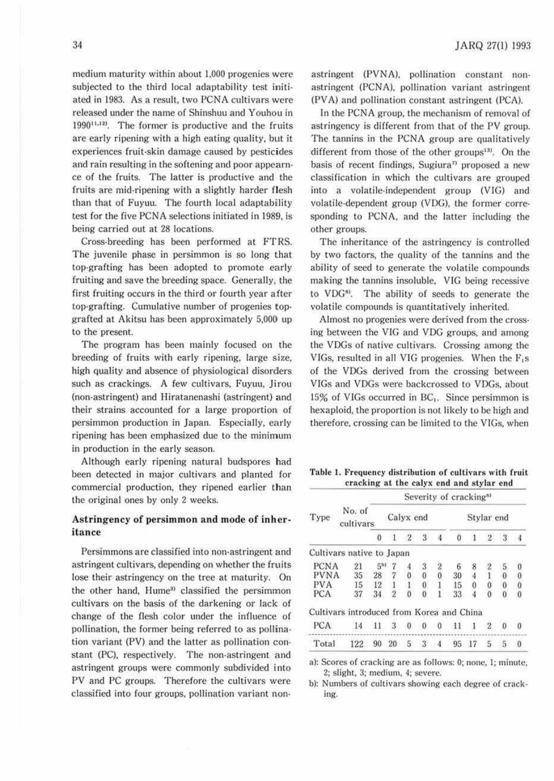medium maturity within about 1,000 progenies were subjected to the third local adaptability test **initi**ated in l983. As a result, two PCNA cultivars were released under the name of Shinshuu and Youhou in  $1990^{11,12}$ . The former is productive and the fruits are early ripening with a high eating quality, but it experiences fruit-skin damage caused by pesticides and rain resulting in the softening and poor appearnce of the fruits. The latter is productive and the fruits are mid-ripening with a slightly harder flesh than that of Fuyuu. The fourth local adaptabiility test for the five PCNA selections initiated in 1989, is being carried out at 28 locations.

Cross-breeding has been performed at FTRS. The juvenile phase in persimmon is so long that top-grafting has been adopted to promote early fruiting and save the breeding space. Generally, the first fruiting occurs in the third or fourth year after top-grafting. Cumulative number of progenies topgrafted at Akitsu has been approximately 5,000 up to the present.

The program has been mainly focused on the breeding of fruits with early ripening, large size, high quality and absence of physiological disorders such as crackings. A few cultivars, Fuyuu, Jirou (non-astringent) and Hiratanenashi (astringent) and their strains accounted for a large proportion of persimmon production in Japan. Especially, early ripening has been emphasized due to the minimum in production in the early season.

Although early ripening natural budspores had been detected in major cultivars and planted for commercial production, they ripened earlier than the original ones by only 2 weeks.

## **Astringency of persimmon and mode of inheritance**

Persimmons are classified into non-astringent and astringent cultivars, depending on whether the fruits lose their astringency on the tree at maturity. On the other hand, Hume<sup>3)</sup> classified the persimmon cultivars on the basis of the darkening or lack of change of the flesh color under the influence of pollination, the former being referred to as pollination variant (PV) and the latter as pollination constant (PC), respectively. The non-astringent and astringent groups were commonly subdivided into PV and PC groups. Therefore the cultivars were classified into four groups, pollination variant nonastringent (PVNA), pollination constant nonastringent (PCNA). pollination variant astringent (PV A) and pollination constant astringent (PCA).

In the PCNA group, the mechanism of removal of astringency is different from that of the PV group. The tannins in the PCNA group are qualitatively different from those of the other groups<sup>13)</sup>. On the basis of recent findings, Sugiura<sup> $\eta$ </sup> proposed a new classification in which the cultivars are grouped into a volatile-independent group (VIG) and volatile-dependent group (VDG), the former corresponding to PCNA, and the latter including the other groups.

The inheritance of the astringency is controlled by two factors, the quality of the tannins and the ability of seed to generate the volatile compounds making the tannins insoluble, VIG being recessive to VDG<sup>6)</sup>. The ability of seeds to generate the volatile compounds is quantitatively inherited.

Almost no progenies were derived from the cross· ing between the VIG and VDG groups, and among the VDGs of native cultivars. Crossing among the VIGs, resulted in all VIG progenies. When the  $F_i$ s of the VDGs derived from the crossing between VIGs and VDGs were backcrossed to VDGs. about  $15\%$  of VIGs occurred in BC<sub>1</sub>. Since persimmon is hexaploid, the proportion is not likely to be high and therefore, crossing can be limited to the VIGs, when

Table 1. Frequency distribution of cultivars with fruit cracking at the calyx end and stylar end

| Type        | No. of<br>cultivars                       |          | Severity of cracking <sup>33</sup> |              |   |          |    |            |                  |    |           |  |
|-------------|-------------------------------------------|----------|------------------------------------|--------------|---|----------|----|------------|------------------|----|-----------|--|
|             |                                           |          | Calyx end                          |              |   |          |    | Stylar end |                  |    |           |  |
|             |                                           | $\bf{0}$ | -1                                 | $\mathbf{2}$ | 3 |          | Ö  | я          | $\sqrt{2}$       | 3  | $\cdot$ 4 |  |
|             | Cultivars native to Japan                 |          |                                    |              |   |          |    |            |                  |    |           |  |
| <b>PCNA</b> | 21                                        | $5^{b}$  |                                    |              | 3 | 2        | 6  | 8          | $\boldsymbol{2}$ | 5. | 0         |  |
| <b>PVNA</b> | 35                                        | 28       |                                    | 0            | 0 | $\theta$ | 30 |            |                  | 0  | 0         |  |
| PVA         | 15                                        | 12       |                                    |              | 0 |          | 15 | 0          | 0                | 0  | $\bf{0}$  |  |
| PCA         | 37                                        | 34       | 2                                  | Ö            | 0 |          | 33 |            | 0                | 0  | 0         |  |
|             | Cultivars introduced from Korea and China |          |                                    |              |   |          |    |            |                  |    |           |  |
| <b>PCA</b>  | 14                                        | -11      | 3                                  | $\Omega$     | 0 | 0        | 11 |            | $\overline{2}$   | 0  | $\bf{0}$  |  |
| Total       | 122                                       | 90       | 20                                 | 5            | 3 | 4        | 95 | 17         | 5                | -5 | 0         |  |

a): Scores of cracking are as follows: 0; none, 1; minute, 2; slight. 3; medium. 4; severe.

b): Numbers of cultivars showing each degree of cracking.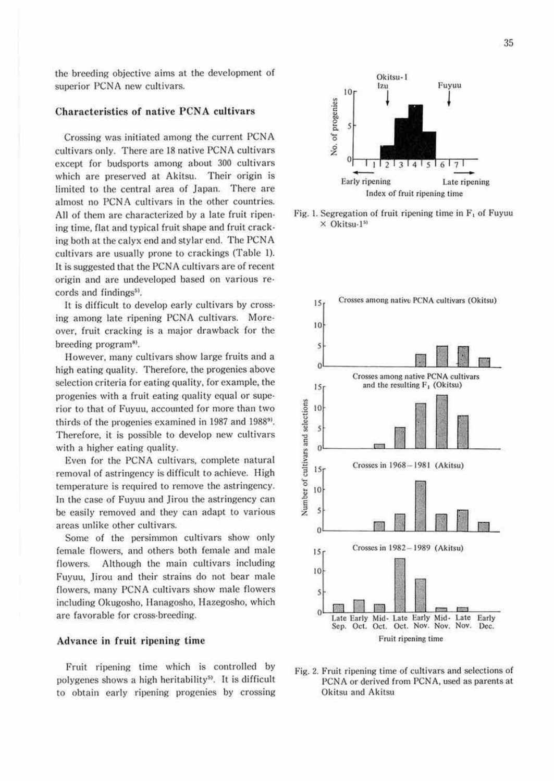the breeding objective aims at the development of superior PCNA new cultivars.

## Characteristics of native PCNA cultivars

Crossing was initiated among the current PCNA cultivars only. There are 18 native PCNA cultivars except for budsports among about 300 cultivars which are preserved at Akitsu. Their origin is limited to the central area of Japan. There are almost no PCNA cultivars in the other countries. All of them are characterized by a late fruit ripen· ing time, flat and typical fruit shape and fruit crack· ing both at the calyx end and stylar end. The PCNA cultivars are usually prone to crackings (Table 1). It is suggested that the PCNA cultivars are of recent origin and are undeveloped based on various records and findings<sup>5)</sup>.

It is difficult to develop early cultivars by crossing among late ripening PCNA cultivars. Moreover, fruit cracking is a major drawback for the breeding program<sup>8)</sup>.

However. many cultivars show large fruits and a high eating quality. Therefore. the progenies above selection criteria for eating quality, for example, the progenies with a fruit eating quality equal or superior to that of Fuyuu, accounted for more than two thirds of the progenies examined in 1987 and 1988<sup>9</sup>. Therefore, it is possible to develop new cultivars with a higher eating quality.

Even for the PCNA cultivars. complete natural removal of astringency is difficult to achieve. High temperature is required to remove the astringency. In the case of Fuyuu and Jirou the astringency can be easily removed and they can adapt to various areas unlike other cultivars.

Some of the persimmon cultivars show only female flowers, and others both female and male flowers. Although the main cultivars including Fuyuu, Jirou and their strains do not bear male flowers, many PCNA cultivars show male flowers including Okugosho, Hanagosho, Hazegosho, which are favorable for cross-breeding.

#### **Advance in fruit ripening time**

Fruit ripening time which is controlled by polygenes shows a high heritability<sup>5)</sup>. It is difficult to obtain early ripening progenies by crossing



Fig. 1. Segregation of fruit ripening time in  $F_1$  of Fuyuu  $\times$  Okitsu-1<sup>51</sup>



Fig. 2. Fruit ripening time of cultivars and selections of PCNA or derived from PCNA, used as parents at Okitsu and Akitsu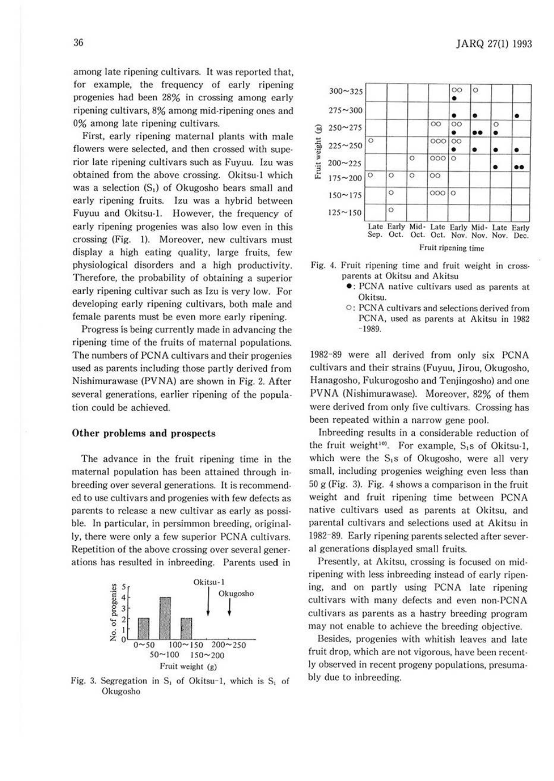among late ripening cultivars. It was reported that, for example, the frequency of early ripening progenies had been 28% in crossing among early ripening cultivars, 8% among mid-ripening ones and 0% among late ripening cultivars.

First, early ripening maternal plants with male flowers were selected, and then crossed with superior late ripening cultivars such as Fuyuu. Jzu was obtained from the above crossing. Okitsu-1 which was a selection (S,) of Okugosho bears small and early ripening fruits. Izu was a hybrid between Fuyuu and Okitsu-!. However, the frequency of early ripening progenies was also low even in this crossing (Fig. I). Moreover, new cultivars must display a high eating quality, large fruits, few physiological disorders and a high productivity. Therefore, the probability of obtaining a superior early ripening cultivar such as Izu is very low. For developing early ripening cultivars, both male and female parents must be even more early ripening.

Progress is being currently made in advancing the ripening time of the fruits of maternal populations. The numbers of PCNA cultivars and their progenies used as parents including those partly derived from Nishimurawase (PVNA) are shown in Fig. 2. After several generations, earlier ripening of the population could be achieved.

#### **Other problems and prospects**

The advance in the fruit ripening time in the maternal population has been attained through inbreeding over several generations. It is recommended to use cultivars and progenies with few defects as parents to release a new cultivar as early as possible. In particular, in persimmon breeding, originally, there were only a few superior PCNA cultivars. Repetition of the above crossing over several generations has resulted in inbreeding. Parents used in



Fig. 3. Segregation in  $S_1$  of Okitsu-1, which is  $S_1$  of Okugosho





- : PCNA native cultivars used as parents at Okitsu.
- $\circ$ : PCNA cultivars and selections derived from PCNA, used as parents at Akitsu in 1982 - 1989.

1982-89 were all derived from only six PCNA cultivars and their strains (Fuyuu, Jirou, Okugosho, Hanagosho, Fukurogosho and Tenjingosho) and one PVNA (Nishimurawase). Moreover, 82% of them were derived from only five cultivars. Crossing has been repeated within a narrow gene pool.

Inbreeding results in a considerable reduction of the fruit weight<sup>10</sup>. For example,  $S_1s$  of Okitsu-1, which were the  $S_1s$  of Okugosho, were all very small, including progenies weighing even less than 50 g (Fig. 3). Fig. 4 shows a comparison in the fruit weight and fruit ripening time between PCNA native cultivars used as parents at Okitsu, and parental cultivars and selections used at Akitsu in 1982- 89. Early ripening parents selected after several generations displayed small fruits.

Presently, at Akitsu, crossing is focused on mid· ripening with less inbreeding instead of early ripening, and on partly using PCNA late ripening cultivars with many defects and even non-PCNA cultivars as parents as a hastry breeding program may not enable to achieve the breeding objective.

Besides, progenies with whitish leaves and late fruit drop, which are not vigorous, have been recently observed in recent progeny populations, presumably due to inbreeding.